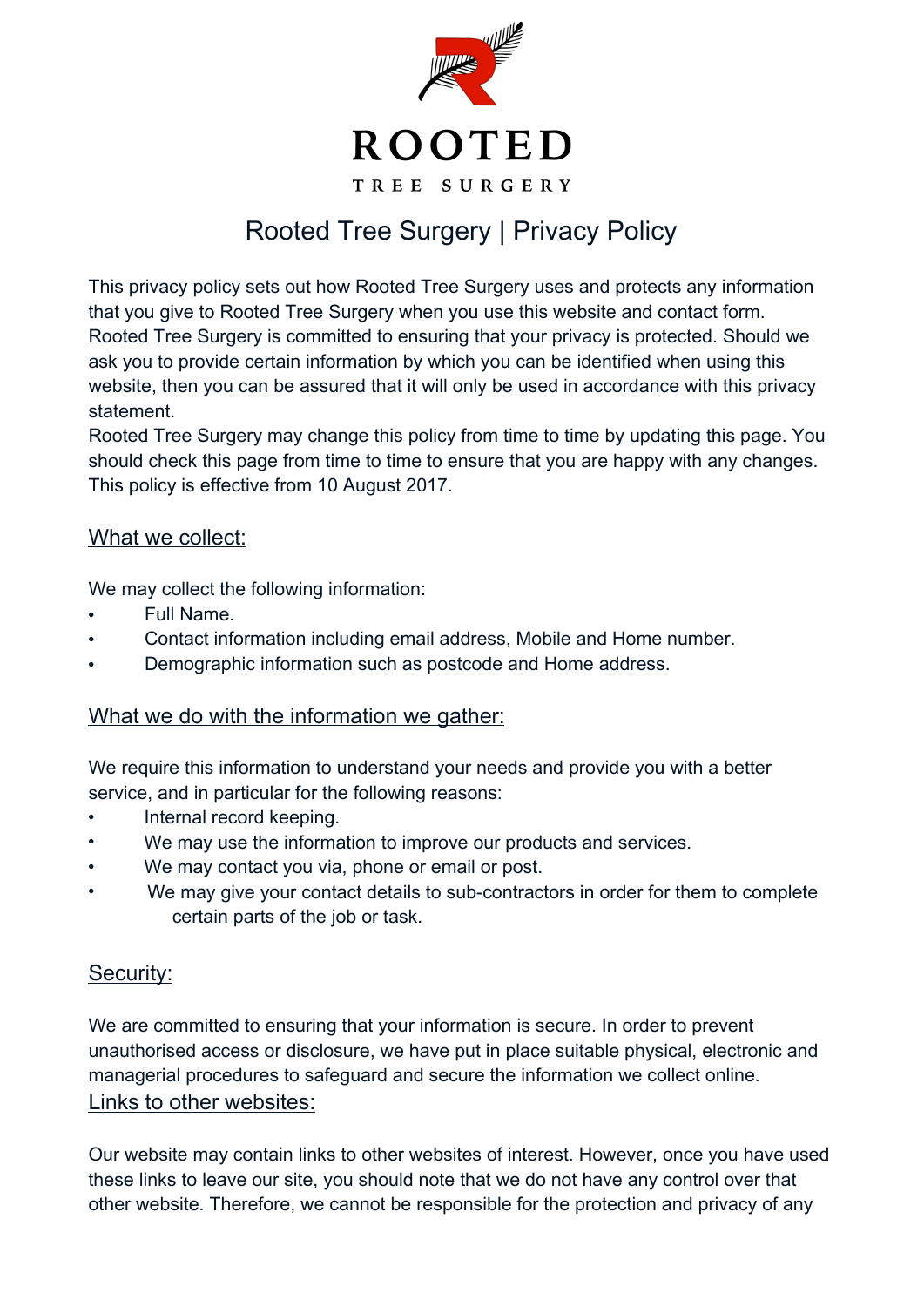

## Rooted Tree Surgery | Privacy Policy

This privacy policy sets out how Rooted Tree Surgery uses and protects any information that you give to Rooted Tree Surgery when you use this website and contact form. Rooted Tree Surgery is committed to ensuring that your privacy is protected. Should we ask you to provide certain information by which you can be identified when using this website, then you can be assured that it will only be used in accordance with this privacy statement.

Rooted Tree Surgery may change this policy from time to time by updating this page. You should check this page from time to time to ensure that you are happy with any changes. This policy is effective from 10 August 2017.

## What we collect:

We may collect the following information:

- Full Name.
- Contact information including email address, Mobile and Home number.
- Demographic information such as postcode and Home address.

## What we do with the information we gather:

We require this information to understand your needs and provide you with a better service, and in particular for the following reasons:

- Internal record keeping.
- We may use the information to improve our products and services.
- We may contact you via, phone or email or post.
- We may give your contact details to sub-contractors in order for them to complete certain parts of the job or task.

## Security:

We are committed to ensuring that your information is secure. In order to prevent unauthorised access or disclosure, we have put in place suitable physical, electronic and managerial procedures to safeguard and secure the information we collect online. Links to other websites:

Our website may contain links to other websites of interest. However, once you have used these links to leave our site, you should note that we do not have any control over that other website. Therefore, we cannot be responsible for the protection and privacy of any